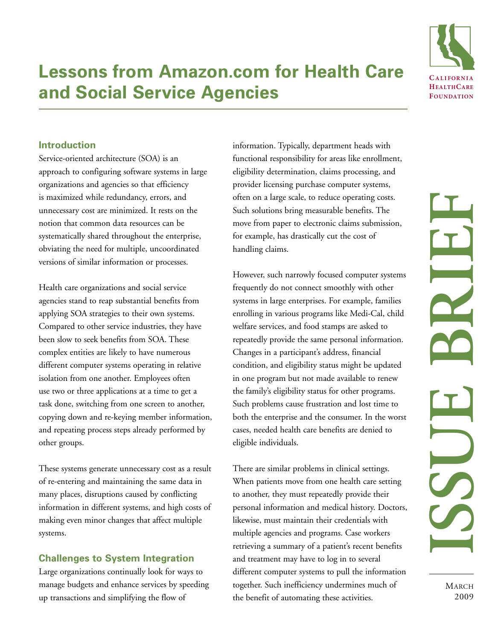

# **Lessons from Amazon.com for Health Care and Social Service Agencies**

## **Introduction**

Service-oriented architecture (SOA) is an approach to configuring software systems in large organizations and agencies so that efficiency is maximized while redundancy, errors, and unnecessary cost are minimized. It rests on the notion that common data resources can be systematically shared throughout the enterprise, obviating the need for multiple, uncoordinated versions of similar information or processes.

Health care organizations and social service agencies stand to reap substantial benefits from applying SOA strategies to their own systems. Compared to other service industries, they have been slow to seek benefits from SOA. These complex entities are likely to have numerous different computer systems operating in relative isolation from one another. Employees often use two or three applications at a time to get a task done, switching from one screen to another, copying down and re-keying member information, and repeating process steps already performed by other groups.

These systems generate unnecessary cost as a result of re-entering and maintaining the same data in many places, disruptions caused by conflicting information in different systems, and high costs of making even minor changes that affect multiple systems.

## **Challenges to System Integration**

Large organizations continually look for ways to manage budgets and enhance services by speeding up transactions and simplifying the flow of

information. Typically, department heads with functional responsibility for areas like enrollment, eligibility determination, claims processing, and provider licensing purchase computer systems, often on a large scale, to reduce operating costs. Such solutions bring measurable benefits. The move from paper to electronic claims submission, for example, has drastically cut the cost of handling claims.

However, such narrowly focused computer systems frequently do not connect smoothly with other systems in large enterprises. For example, families enrolling in various programs like Medi-Cal, child welfare services, and food stamps are asked to repeatedly provide the same personal information. Changes in a participant's address, financial condition, and eligibility status might be updated in one program but not made available to renew the family's eligibility status for other programs. Such problems cause frustration and lost time to both the enterprise and the consumer. In the worst cases, needed health care benefits are denied to eligible individuals.

There are similar problems in clinical settings. When patients move from one health care setting to another, they must repeatedly provide their personal information and medical history. Doctors, likewise, must maintain their credentials with multiple agencies and programs. Case workers retrieving a summary of a patient's recent benefits and treatment may have to log in to several different computer systems to pull the information together. Such inefficiency undermines much of the benefit of automating these activities.

**MARCH** 2009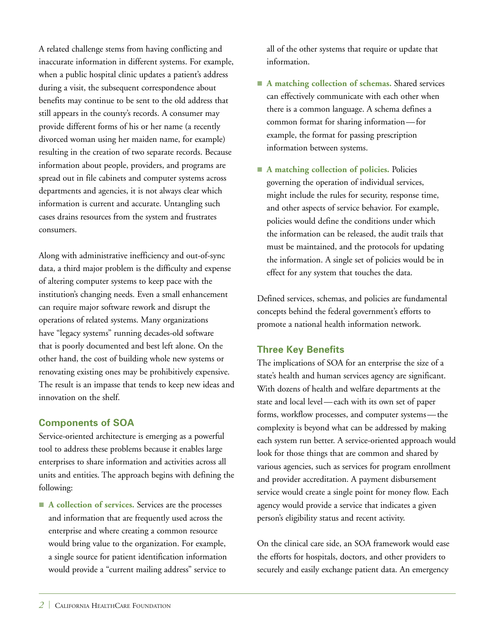A related challenge stems from having conflicting and inaccurate information in different systems. For example, when a public hospital clinic updates a patient's address during a visit, the subsequent correspondence about benefits may continue to be sent to the old address that still appears in the county's records. A consumer may provide different forms of his or her name (a recently divorced woman using her maiden name, for example) resulting in the creation of two separate records. Because information about people, providers, and programs are spread out in file cabinets and computer systems across departments and agencies, it is not always clear which information is current and accurate. Untangling such cases drains resources from the system and frustrates consumers.

Along with administrative inefficiency and out-of-sync data, a third major problem is the difficulty and expense of altering computer systems to keep pace with the institution's changing needs. Even a small enhancement can require major software rework and disrupt the operations of related systems. Many organizations have "legacy systems" running decades-old software that is poorly documented and best left alone. On the other hand, the cost of building whole new systems or renovating existing ones may be prohibitively expensive. The result is an impasse that tends to keep new ideas and innovation on the shelf.

# **Components of SOA**

Service-oriented architecture is emerging as a powerful tool to address these problems because it enables large enterprises to share information and activities across all units and entities. The approach begins with defining the following:

■ A collection of services. Services are the processes and information that are frequently used across the enterprise and where creating a common resource would bring value to the organization. For example, a single source for patient identification information would provide a "current mailing address" service to

all of the other systems that require or update that information.

- A matching collection of schemas. Shared services can effectively communicate with each other when there is a common language. A schema defines a common format for sharing information—for example, the format for passing prescription information between systems.
- A matching collection of policies. Policies governing the operation of individual services, might include the rules for security, response time, and other aspects of service behavior. For example, policies would define the conditions under which the information can be released, the audit trails that must be maintained, and the protocols for updating the information. A single set of policies would be in effect for any system that touches the data.

Defined services, schemas, and policies are fundamental concepts behind the federal government's efforts to promote a national health information network.

# **Three Key Benefits**

The implications of SOA for an enterprise the size of a state's health and human services agency are significant. With dozens of health and welfare departments at the state and local level—each with its own set of paper forms, workflow processes, and computer systems—the complexity is beyond what can be addressed by making each system run better. A service-oriented approach would look for those things that are common and shared by various agencies, such as services for program enrollment and provider accreditation. A payment disbursement service would create a single point for money flow. Each agency would provide a service that indicates a given person's eligibility status and recent activity.

On the clinical care side, an SOA framework would ease the efforts for hospitals, doctors, and other providers to securely and easily exchange patient data. An emergency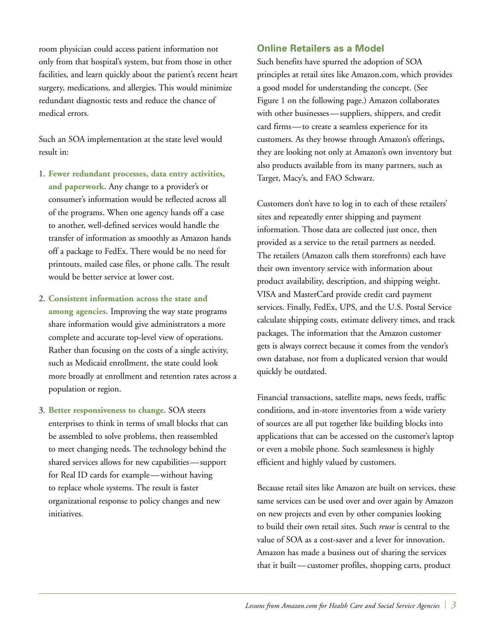room physician could access patient information not only from that hospital's system, but from those in other facilities, and learn quickly about the patient's recent heart surgery, medications, and allergies. This would minimize redundant diagnostic tests and reduce the chance of medical errors.

Such an SOA implementation at the state level would result in:

- 1. **Fewer redundant processes, data entry activities, and paperwork.** Any change to a provider's or consumer's information would be reflected across all of the programs. When one agency hands off a case to another, well-defined services would handle the transfer of information as smoothly as Amazon hands off a package to FedEx. There would be no need for printouts, mailed case files, or phone calls. The result would be better service at lower cost.
- 2. **Consistent information across the state and among agencies.** Improving the way state programs share information would give administrators a more complete and accurate top-level view of operations. Rather than focusing on the costs of a single activity, such as Medicaid enrollment, the state could look more broadly at enrollment and retention rates across a population or region.
- 3. **Better responsiveness to change.** SOA steers enterprises to think in terms of small blocks that can be assembled to solve problems, then reassembled to meet changing needs. The technology behind the shared services allows for new capabilities—support for Real ID cards for example—without having to replace whole systems. The result is faster organizational response to policy changes and new initiatives.

### **Online Retailers as a Model**

Such benefits have spurred the adoption of SOA principles at retail sites like Amazon.com, which provides a good model for understanding the concept. (See Figure 1 on the following page.) Amazon collaborates with other businesses—suppliers, shippers, and credit card firms—to create a seamless experience for its customers. As they browse through Amazon's offerings, they are looking not only at Amazon's own inventory but also products available from its many partners, such as Target, Macy's, and FAO Schwarz.

Customers don't have to log in to each of these retailers' sites and repeatedly enter shipping and payment information. Those data are collected just once, then provided as a service to the retail partners as needed. The retailers (Amazon calls them storefronts) each have their own inventory service with information about product availability, description, and shipping weight. VISA and MasterCard provide credit card payment services. Finally, FedEx, UPS, and the U.S. Postal Service calculate shipping costs, estimate delivery times, and track packages. The information that the Amazon customer gets is always correct because it comes from the vendor's own database, not from a duplicated version that would quickly be outdated.

Financial transactions, satellite maps, news feeds, traffic conditions, and in-store inventories from a wide variety of sources are all put together like building blocks into applications that can be accessed on the customer's laptop or even a mobile phone. Such seamlessness is highly efficient and highly valued by customers.

Because retail sites like Amazon are built on services, these same services can be used over and over again by Amazon on new projects and even by other companies looking to build their own retail sites. Such *reuse* is central to the value of SOA as a cost-saver and a lever for innovation. Amazon has made a business out of sharing the services that it built—customer profiles, shopping carts, product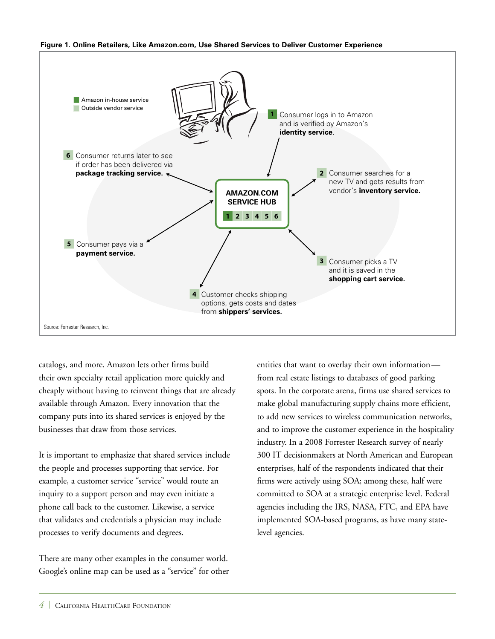



catalogs, and more. Amazon lets other firms build their own specialty retail application more quickly and cheaply without having to reinvent things that are already available through Amazon. Every innovation that the company puts into its shared services is enjoyed by the businesses that draw from those services.

It is important to emphasize that shared services include the people and processes supporting that service. For example, a customer service "service" would route an inquiry to a support person and may even initiate a phone call back to the customer. Likewise, a service that validates and credentials a physician may include processes to verify documents and degrees.

There are many other examples in the consumer world. Google's online map can be used as a "service" for other entities that want to overlay their own information from real estate listings to databases of good parking spots. In the corporate arena, firms use shared services to make global manufacturing supply chains more efficient, to add new services to wireless communication networks, and to improve the customer experience in the hospitality industry. In a 2008 Forrester Research survey of nearly 300 IT decisionmakers at North American and European enterprises, half of the respondents indicated that their firms were actively using SOA; among these, half were committed to SOA at a strategic enterprise level. Federal agencies including the IRS, NASA, FTC, and EPA have implemented SOA-based programs, as have many statelevel agencies.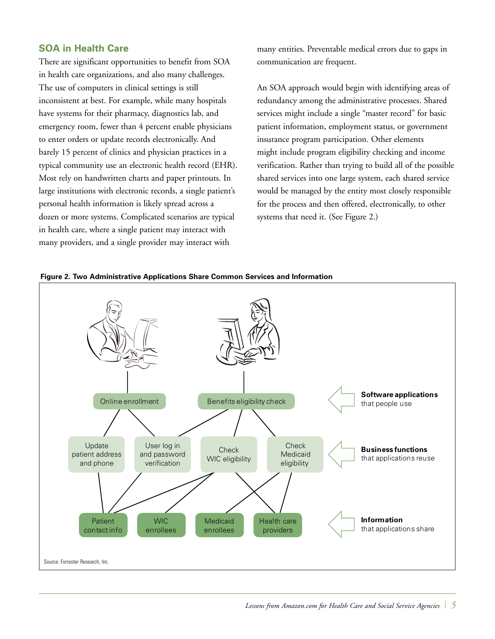## **SOA in Health Care**

There are significant opportunities to benefit from SOA in health care organizations, and also many challenges. The use of computers in clinical settings is still inconsistent at best. For example, while many hospitals have systems for their pharmacy, diagnostics lab, and emergency room, fewer than 4 percent enable physicians to enter orders or update records electronically. And barely 15 percent of clinics and physician practices in a typical community use an electronic health record (EHR). Most rely on handwritten charts and paper printouts. In large institutions with electronic records, a single patient's personal health information is likely spread across a dozen or more systems. Complicated scenarios are typical in health care, where a single patient may interact with many providers, and a single provider may interact with

many entities. Preventable medical errors due to gaps in communication are frequent.

An SOA approach would begin with identifying areas of redundancy among the administrative processes. Shared services might include a single "master record" for basic patient information, employment status, or government insurance program participation. Other elements might include program eligibility checking and income verification. Rather than trying to build all of the possible shared services into one large system, each shared service would be managed by the entity most closely responsible for the process and then offered, electronically, to other systems that need it. (See Figure 2.)



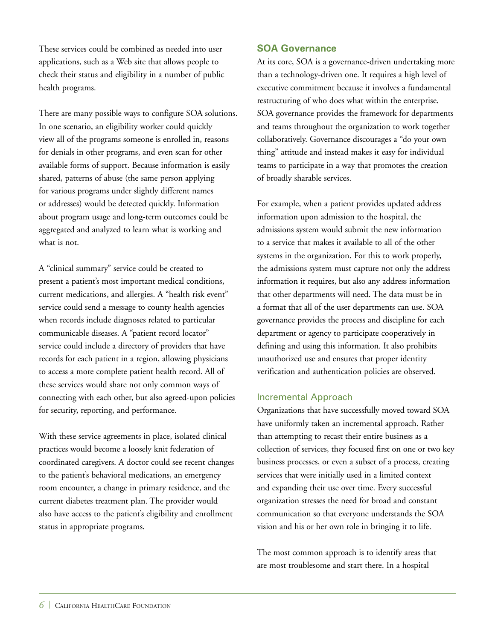These services could be combined as needed into user applications, such as a Web site that allows people to check their status and eligibility in a number of public health programs.

There are many possible ways to configure SOA solutions. In one scenario, an eligibility worker could quickly view all of the programs someone is enrolled in, reasons for denials in other programs, and even scan for other available forms of support. Because information is easily shared, patterns of abuse (the same person applying for various programs under slightly different names or addresses) would be detected quickly. Information about program usage and long-term outcomes could be aggregated and analyzed to learn what is working and what is not.

A "clinical summary" service could be created to present a patient's most important medical conditions, current medications, and allergies. A "health risk event" service could send a message to county health agencies when records include diagnoses related to particular communicable diseases. A "patient record locator" service could include a directory of providers that have records for each patient in a region, allowing physicians to access a more complete patient health record. All of these services would share not only common ways of connecting with each other, but also agreed-upon policies for security, reporting, and performance.

With these service agreements in place, isolated clinical practices would become a loosely knit federation of coordinated caregivers. A doctor could see recent changes to the patient's behavioral medications, an emergency room encounter, a change in primary residence, and the current diabetes treatment plan. The provider would also have access to the patient's eligibility and enrollment status in appropriate programs.

#### **SOA Governance**

At its core, SOA is a governance-driven undertaking more than a technology-driven one. It requires a high level of executive commitment because it involves a fundamental restructuring of who does what within the enterprise. SOA governance provides the framework for departments and teams throughout the organization to work together collaboratively. Governance discourages a "do your own thing" attitude and instead makes it easy for individual teams to participate in a way that promotes the creation of broadly sharable services.

For example, when a patient provides updated address information upon admission to the hospital, the admissions system would submit the new information to a service that makes it available to all of the other systems in the organization. For this to work properly, the admissions system must capture not only the address information it requires, but also any address information that other departments will need. The data must be in a format that all of the user departments can use. SOA governance provides the process and discipline for each department or agency to participate cooperatively in defining and using this information. It also prohibits unauthorized use and ensures that proper identity verification and authentication policies are observed.

#### Incremental Approach

Organizations that have successfully moved toward SOA have uniformly taken an incremental approach. Rather than attempting to recast their entire business as a collection of services, they focused first on one or two key business processes, or even a subset of a process, creating services that were initially used in a limited context and expanding their use over time. Every successful organization stresses the need for broad and constant communication so that everyone understands the SOA vision and his or her own role in bringing it to life.

The most common approach is to identify areas that are most troublesome and start there. In a hospital